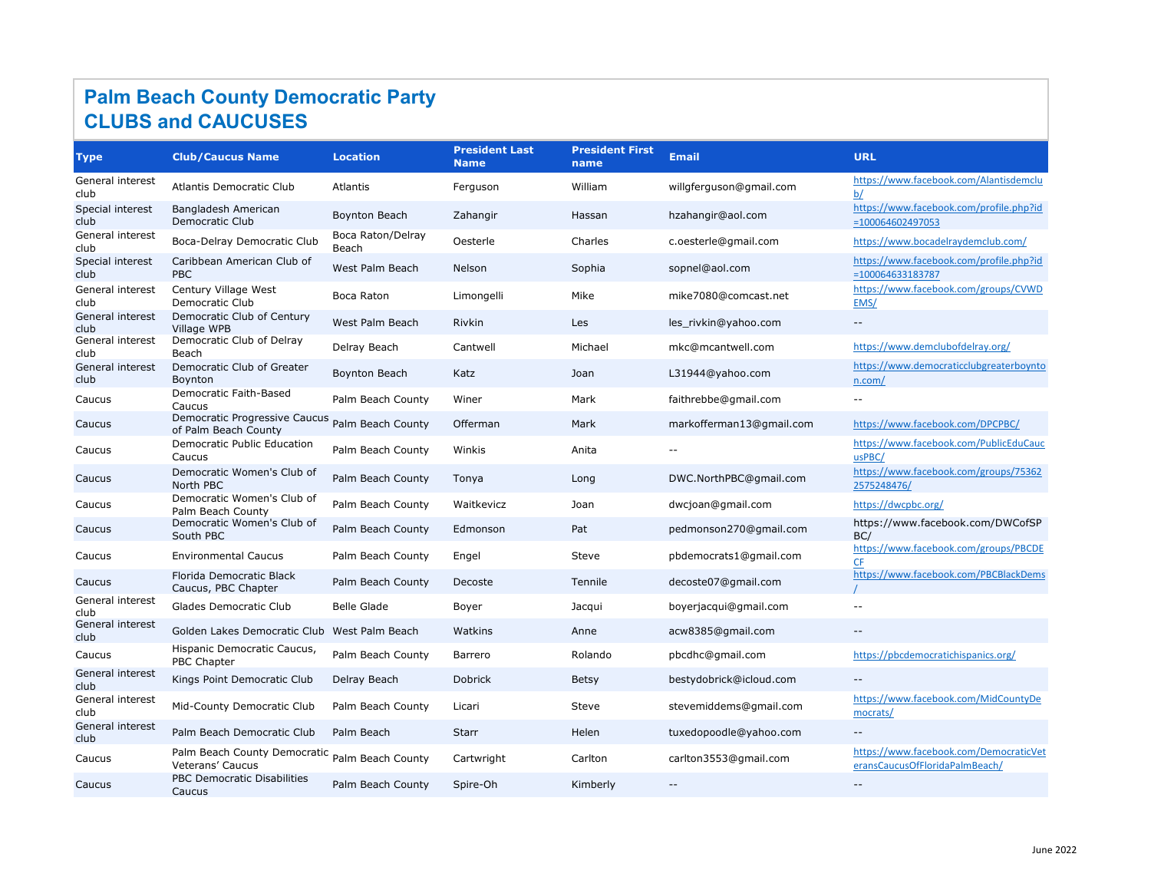| <b>Type</b>              | <b>Club/Caucus Name</b>                                            | <b>Location</b>            | <b>President Last</b><br><b>Name</b> | <b>President First</b><br>name | <b>Email</b>             | <b>URL</b>                                                               |
|--------------------------|--------------------------------------------------------------------|----------------------------|--------------------------------------|--------------------------------|--------------------------|--------------------------------------------------------------------------|
| General interest<br>club | <b>Atlantis Democratic Club</b>                                    | Atlantis                   | Ferguson                             | William                        | willgferguson@gmail.com  | https://www.facebook.com/Alantisdemclu<br>b/                             |
| Special interest<br>club | Bangladesh American<br>Democratic Club                             | Boynton Beach              | Zahangir                             | Hassan                         | hzahangir@aol.com        | https://www.facebook.com/profile.php?id<br>$= 100064602497053$           |
| General interest<br>club | Boca-Delray Democratic Club                                        | Boca Raton/Delray<br>Beach | Oesterle                             | Charles                        | c.oesterle@gmail.com     | https://www.bocadelraydemclub.com/                                       |
| Special interest<br>club | Caribbean American Club of<br><b>PBC</b>                           | West Palm Beach            | Nelson                               | Sophia                         | sopnel@aol.com           | https://www.facebook.com/profile.php?id<br>$= 100064633183787$           |
| General interest<br>club | Century Village West<br>Democratic Club                            | Boca Raton                 | Limongelli                           | Mike                           | mike7080@comcast.net     | https://www.facebook.com/groups/CVWD<br>EMS/                             |
| General interest<br>club | Democratic Club of Century<br>Village WPB                          | West Palm Beach            | Rivkin                               | Les                            | les_rivkin@yahoo.com     | $--$                                                                     |
| General interest<br>club | Democratic Club of Delray<br>Beach                                 | Delray Beach               | Cantwell                             | Michael                        | mkc@mcantwell.com        | https://www.demclubofdelray.org/                                         |
| General interest<br>club | Democratic Club of Greater<br>Boynton                              | Boynton Beach              | Katz                                 | Joan                           | L31944@yahoo.com         | https://www.democraticclubgreaterboynto<br>n.com/                        |
| Caucus                   | Democratic Faith-Based<br>Caucus                                   | Palm Beach County          | Winer                                | Mark                           | faithrebbe@gmail.com     | $- -$                                                                    |
| Caucus                   | Democratic Progressive Caucus<br>of Palm Beach County              | Palm Beach County          | Offerman                             | Mark                           | markofferman13@gmail.com | https://www.facebook.com/DPCPBC/                                         |
| Caucus                   | <b>Democratic Public Education</b><br>Caucus                       | Palm Beach County          | Winkis                               | Anita                          |                          | https://www.facebook.com/PublicEduCauc<br>usPBC/                         |
| Caucus                   | Democratic Women's Club of<br>North PBC                            | Palm Beach County          | Tonya                                | Long                           | DWC.NorthPBC@gmail.com   | https://www.facebook.com/groups/75362<br>2575248476/                     |
| Caucus                   | Democratic Women's Club of<br>Palm Beach County                    | Palm Beach County          | Waitkevicz                           | Joan                           | dwcjoan@gmail.com        | https://dwcpbc.org/                                                      |
| Caucus                   | Democratic Women's Club of<br>South PBC                            | Palm Beach County          | Edmonson                             | Pat                            | pedmonson270@gmail.com   | https://www.facebook.com/DWCofSP<br>BC/                                  |
| Caucus                   | <b>Environmental Caucus</b>                                        | Palm Beach County          | Engel                                | Steve                          | pbdemocrats1@gmail.com   | https://www.facebook.com/groups/PBCDE<br>CF                              |
| Caucus                   | Florida Democratic Black<br>Caucus, PBC Chapter                    | Palm Beach County          | Decoste                              | Tennile                        | decoste07@gmail.com      | https://www.facebook.com/PBCBlackDems                                    |
| General interest<br>club | Glades Democratic Club                                             | <b>Belle Glade</b>         | Boyer                                | Jacqui                         | boyerjacqui@gmail.com    |                                                                          |
| General interest<br>club | Golden Lakes Democratic Club West Palm Beach                       |                            | Watkins                              | Anne                           | acw8385@gmail.com        | $\overline{\phantom{m}}$                                                 |
| Caucus                   | Hispanic Democratic Caucus,<br>PBC Chapter                         | Palm Beach County          | Barrero                              | Rolando                        | pbcdhc@gmail.com         | https://pbcdemocratichispanics.org/                                      |
| General interest<br>club | Kings Point Democratic Club                                        | Delray Beach               | <b>Dobrick</b>                       | Betsy                          | bestydobrick@icloud.com  | $\overline{\phantom{m}}$                                                 |
| General interest<br>club | Mid-County Democratic Club                                         | Palm Beach County          | Licari                               | Steve                          | stevemiddems@gmail.com   | https://www.facebook.com/MidCountyDe<br>mocrats/                         |
| General interest<br>club | Palm Beach Democratic Club                                         | Palm Beach                 | <b>Starr</b>                         | Helen                          | tuxedopoodle@yahoo.com   | $\overline{\phantom{m}}$                                                 |
| Caucus                   | Palm Beach County Democratic Palm Beach County<br>Veterans' Caucus |                            | Cartwright                           | Carlton                        | carlton3553@gmail.com    | https://www.facebook.com/DemocraticVet<br>eransCaucusOfFloridaPalmBeach/ |
| Caucus                   | PBC Democratic Disabilities<br>Caucus                              | Palm Beach County          | Spire-Oh                             | Kimberly                       | $- -$                    | $- -$                                                                    |

## **Palm Beach County Democratic Party CLUBS and CAUCUSES**